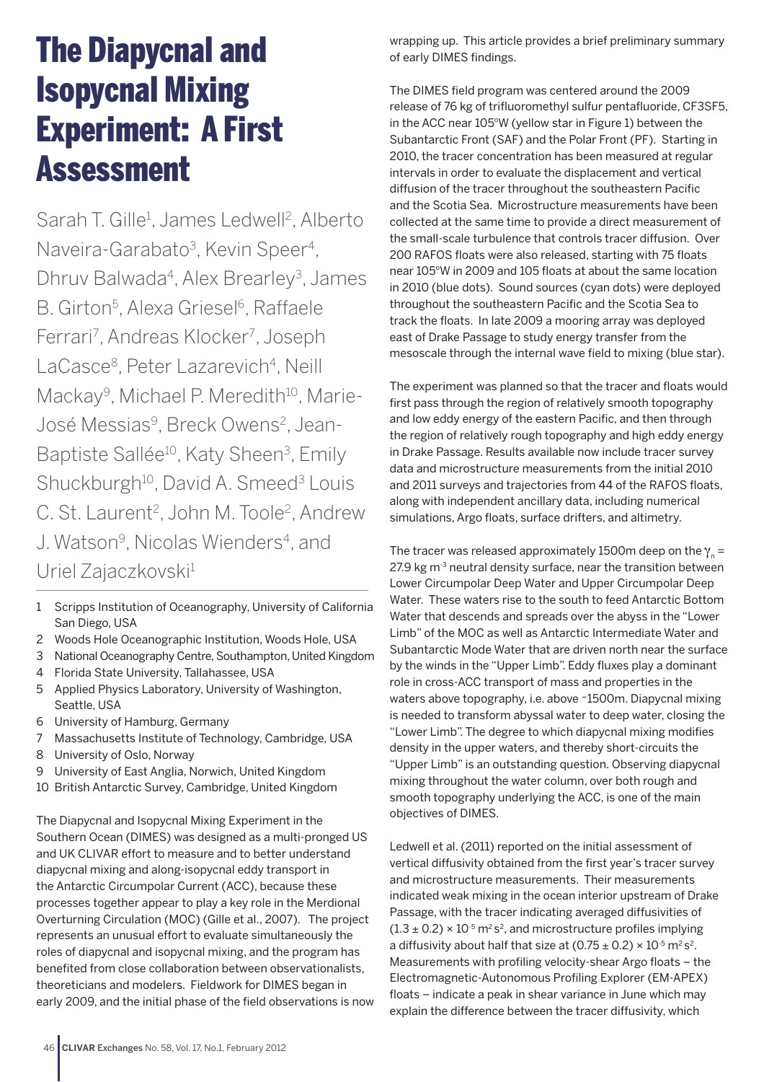## The Diapycnal and Isopycnal Mixing Experiment: A First Assessment

Sarah T. Gille<sup>1</sup>, James Ledwell<sup>2</sup>, Alberto Naveira-Garabato<sup>3</sup>, Kevin Speer<sup>4</sup>, Dhruv Balwada<sup>4</sup>, Alex Brearley<sup>3</sup>, James B. Girton<sup>5</sup>, Alexa Griesel<sup>6</sup>, Raffaele Ferrari<sup>7</sup>, Andreas Klocker<sup>7</sup>, Joseph LaCasce<sup>8</sup>, Peter Lazarevich<sup>4</sup>, Neill Mackay<sup>9</sup>, Michael P. Meredith<sup>10</sup>, Marie-José Messias<sup>9</sup>, Breck Owens<sup>2</sup>, Jean-Baptiste Sallée<sup>10</sup>, Katy Sheen<sup>3</sup>, Emily Shuckburgh<sup>10</sup>, David A. Smeed<sup>3</sup> Louis C. St. Laurent<sup>2</sup>, John M. Toole<sup>2</sup>. Andrew J. Watson<sup>9</sup>, Nicolas Wienders<sup>4</sup>, and Uriel Zajaczkovski<sup>1</sup>

- 1 Scripps Institution of Oceanography, University of California San Diego, USA
- 2 Woods Hole Oceanographic Institution, Woods Hole, USA
- 3 National Oceanography Centre, Southampton, United Kingdom
- 4 Florida State University, Tallahassee, USA
- 5 Applied Physics Laboratory, University of Washington, Seattle, USA
- 6 University of Hamburg, Germany
- 7 Massachusetts Institute of Technology, Cambridge, USA
- 8 University of Oslo, Norway
- 9 University of East Anglia, Norwich, United Kingdom
- 10 British Antarctic Survey, Cambridge, United Kingdom

The Diapycnal and Isopycnal Mixing Experiment in the Southern Ocean (DIMES) was designed as a multi-pronged US and UK CLIVAR effort to measure and to better understand diapycnal mixing and along-isopycnal eddy transport in the Antarctic Circumpolar Current (ACC), because these processes together appear to play a key role in the Merdional Overturning Circulation (MOC) (Gille et al., 2007). The project represents an unusual effort to evaluate simultaneously the roles of diapycnal and isopycnal mixing, and the program has benefited from close collaboration between observationalists, theoreticians and modelers. Fieldwork for DIMES began in early 2009, and the initial phase of the field observations is now wrapping up. This article provides a brief preliminary summary of early DIMES findings.

The DIMES field program was centered around the 2009 release of 76 kg of trifluoromethyl sulfur pentafluoride, CF3SF5, in the ACC near 105°W (yellow star in Figure 1) between the Subantarctic Front (SAF) and the Polar Front (PF). Starting in 2010, the tracer concentration has been measured at regular intervals in order to evaluate the displacement and vertical diffusion of the tracer throughout the southeastern Pacific and the Scotia Sea. Microstructure measurements have been collected at the same time to provide a direct measurement of the small-scale turbulence that controls tracer diffusion. Over 200 RAFOS floats were also released, starting with 75 floats near 105°W in 2009 and 105 floats at about the same location in 2010 (blue dots). Sound sources (cyan dots) were deployed throughout the southeastern Pacific and the Scotia Sea to track the floats. In late 2009 a mooring array was deployed east of Drake Passage to study energy transfer from the mesoscale through the internal wave field to mixing (blue star).

The experiment was planned so that the tracer and floats would first pass through the region of relatively smooth topography and low eddy energy of the eastern Pacific, and then through the region of relatively rough topography and high eddy energy in Drake Passage. Results available now include tracer survey data and microstructure measurements from the initial 2010 and 2011 surveys and trajectories from 44 of the RAFOS floats, along with independent ancillary data, including numerical simulations, Argo floats, surface drifters, and altimetry.

The tracer was released approximately 1500m deep on the  $\gamma_n =$ 27.9 kg  $m<sup>3</sup>$  neutral density surface, near the transition between Lower Circumpolar Deep Water and Upper Circumpolar Deep Water. These waters rise to the south to feed Antarctic Bottom Water that descends and spreads over the abyss in the "Lower Limb" of the MOC as well as Antarctic Intermediate Water and Subantarctic Mode Water that are driven north near the surface by the winds in the "Upper Limb". Eddy fluxes play a dominant role in cross-ACC transport of mass and properties in the waters above topography, i.e. above ~1500m. Diapycnal mixing is needed to transform abyssal water to deep water, closing the "Lower Limb". The degree to which diapycnal mixing modifies density in the upper waters, and thereby short-circuits the "Upper Limb" is an outstanding question. Observing diapycnal mixing throughout the water column, over both rough and smooth topography underlying the ACC, is one of the main objectives of DIMES.

Ledwell et al. (2011) reported on the initial assessment of vertical diffusivity obtained from the first year's tracer survey and microstructure measurements. Their measurements indicated weak mixing in the ocean interior upstream of Drake Passage, with the tracer indicating averaged diffusivities of  $(1.3 \pm 0.2) \times 10^{-5}$  m<sup>2</sup> s<sup>2</sup>, and microstructure profiles implying a diffusivity about half that size at  $(0.75 \pm 0.2) \times 10^{-5}$  m<sup>2</sup> s<sup>2</sup>. Measurements with profiling velocity-shear Argo floats – the Electromagnetic-Autonomous Profiling Explorer (EM-APEX) floats – indicate a peak in shear variance in June which may explain the difference between the tracer diffusivity, which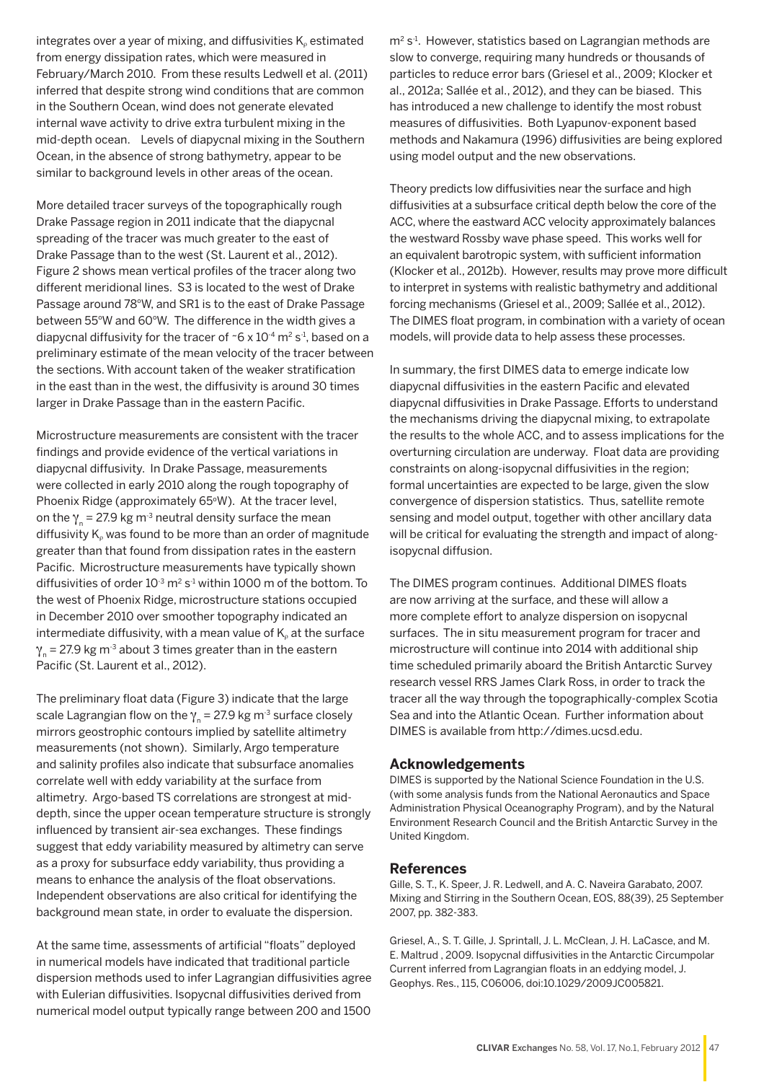integrates over a year of mixing, and diffusivities  $K_{\rho}$  estimated from energy dissipation rates, which were measured in February/March 2010. From these results Ledwell et al. (2011) inferred that despite strong wind conditions that are common in the Southern Ocean, wind does not generate elevated internal wave activity to drive extra turbulent mixing in the mid-depth ocean. Levels of diapycnal mixing in the Southern Ocean, in the absence of strong bathymetry, appear to be similar to background levels in other areas of the ocean.

More detailed tracer surveys of the topographically rough Drake Passage region in 2011 indicate that the diapycnal spreading of the tracer was much greater to the east of Drake Passage than to the west (St. Laurent et al., 2012). Figure 2 shows mean vertical profiles of the tracer along two different meridional lines. S3 is located to the west of Drake Passage around 78°W, and SR1 is to the east of Drake Passage between 55°W and 60°W. The difference in the width gives a diapycnal diffusivity for the tracer of  $\sim$  6 x 10<sup>-4</sup> m<sup>2</sup> s<sup>-1</sup>, based on a preliminary estimate of the mean velocity of the tracer between the sections. With account taken of the weaker stratification in the east than in the west, the diffusivity is around 30 times larger in Drake Passage than in the eastern Pacific.

Microstructure measurements are consistent with the tracer findings and provide evidence of the vertical variations in diapycnal diffusivity. In Drake Passage, measurements were collected in early 2010 along the rough topography of Phoenix Ridge (approximately 65°W). At the tracer level, on the  $\gamma_n = 27.9$  kg m<sup>-3</sup> neutral density surface the mean diffusivity  $K<sub>o</sub>$  was found to be more than an order of magnitude greater than that found from dissipation rates in the eastern Pacific. Microstructure measurements have typically shown diffusivities of order  $10^{-3}$  m<sup>2</sup> s<sup>-1</sup> within 1000 m of the bottom. To the west of Phoenix Ridge, microstructure stations occupied in December 2010 over smoother topography indicated an intermediate diffusivity, with a mean value of  $K<sub>o</sub>$  at the surface  $y = 27.9$  kg m<sup>-3</sup> about 3 times greater than in the eastern Pacific (St. Laurent et al., 2012).

The preliminary float data (Figure 3) indicate that the large scale Lagrangian flow on the  $\gamma_n = 27.9$  kg m<sup>-3</sup> surface closely mirrors geostrophic contours implied by satellite altimetry measurements (not shown). Similarly, Argo temperature and salinity profiles also indicate that subsurface anomalies correlate well with eddy variability at the surface from altimetry. Argo-based TS correlations are strongest at middepth, since the upper ocean temperature structure is strongly influenced by transient air-sea exchanges. These findings suggest that eddy variability measured by altimetry can serve as a proxy for subsurface eddy variability, thus providing a means to enhance the analysis of the float observations. Independent observations are also critical for identifying the background mean state, in order to evaluate the dispersion.

At the same time, assessments of artificial "floats" deployed in numerical models have indicated that traditional particle dispersion methods used to infer Lagrangian diffusivities agree with Eulerian diffusivities. Isopycnal diffusivities derived from numerical model output typically range between 200 and 1500

 $m<sup>2</sup> s<sup>-1</sup>$ . However, statistics based on Lagrangian methods are slow to converge, requiring many hundreds or thousands of particles to reduce error bars (Griesel et al., 2009; Klocker et al., 2012a; Sallée et al., 2012), and they can be biased. This has introduced a new challenge to identify the most robust measures of diffusivities. Both Lyapunov-exponent based methods and Nakamura (1996) diffusivities are being explored using model output and the new observations.

Theory predicts low diffusivities near the surface and high diffusivities at a subsurface critical depth below the core of the ACC, where the eastward ACC velocity approximately balances the westward Rossby wave phase speed. This works well for an equivalent barotropic system, with sufficient information (Klocker et al., 2012b). However, results may prove more difficult to interpret in systems with realistic bathymetry and additional forcing mechanisms (Griesel et al., 2009; Sallée et al., 2012). The DIMES float program, in combination with a variety of ocean models, will provide data to help assess these processes.

In summary, the first DIMES data to emerge indicate low diapycnal diffusivities in the eastern Pacific and elevated diapycnal diffusivities in Drake Passage. Efforts to understand the mechanisms driving the diapycnal mixing, to extrapolate the results to the whole ACC, and to assess implications for the overturning circulation are underway. Float data are providing constraints on along-isopycnal diffusivities in the region; formal uncertainties are expected to be large, given the slow convergence of dispersion statistics. Thus, satellite remote sensing and model output, together with other ancillary data will be critical for evaluating the strength and impact of alongisopycnal diffusion.

The DIMES program continues. Additional DIMES floats are now arriving at the surface, and these will allow a more complete effort to analyze dispersion on isopycnal surfaces. The in situ measurement program for tracer and microstructure will continue into 2014 with additional ship time scheduled primarily aboard the British Antarctic Survey research vessel RRS James Clark Ross, in order to track the tracer all the way through the topographically-complex Scotia Sea and into the Atlantic Ocean. Further information about DIMES is available from http://dimes.ucsd.edu.

## **Acknowledgements**

DIMES is supported by the National Science Foundation in the U.S. (with some analysis funds from the National Aeronautics and Space Administration Physical Oceanography Program), and by the Natural Environment Research Council and the British Antarctic Survey in the United Kingdom.

## **References**

Gille, S. T., K. Speer, J. R. Ledwell, and A. C. Naveira Garabato, 2007. Mixing and Stirring in the Southern Ocean, EOS, 88(39), 25 September 2007, pp. 382-383.

Griesel, A., S. T. Gille, J. Sprintall, J. L. McClean, J. H. LaCasce, and M. E. Maltrud , 2009. Isopycnal diffusivities in the Antarctic Circumpolar Current inferred from Lagrangian floats in an eddying model, J. Geophys. Res., 115, C06006, doi:10.1029/2009JC005821.